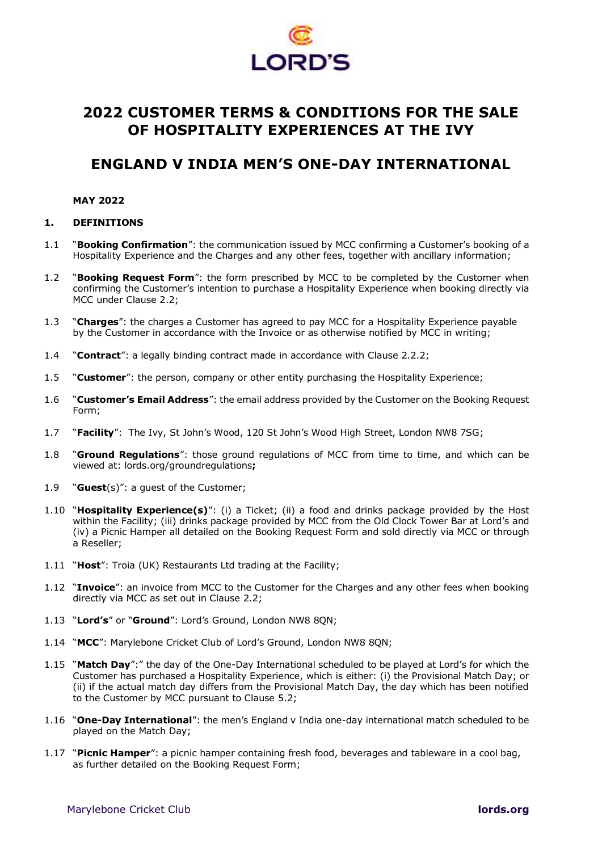

# **2022 CUSTOMER TERMS & CONDITIONS FOR THE SALE OF HOSPITALITY EXPERIENCES AT THE IVY**

# **ENGLAND V INDIA MEN'S ONE-DAY INTERNATIONAL**

## **MAY 2022**

## **1. DEFINITIONS**

- 1.1 "**Booking Confirmation**": the communication issued by MCC confirming a Customer's booking of a Hospitality Experience and the Charges and any other fees, together with ancillary information;
- 1.2 "**Booking Request Form**": the form prescribed by MCC to be completed by the Customer when confirming the Customer's intention to purchase a Hospitality Experience when booking directly via MCC under Clause [2.2;](#page-1-0)
- 1.3 "**Charges**": the charges a Customer has agreed to pay MCC for a Hospitality Experience payable by the Customer in accordance with the Invoice or as otherwise notified by MCC in writing;
- 1.4 "**Contract**": a legally binding contract made in accordance with Clause [2.2.2;](#page-2-0)
- 1.5 "**Customer**": the person, company or other entity purchasing the Hospitality Experience;
- 1.6 "**Customer's Email Address**": the email address provided by the Customer on the Booking Request Form;
- 1.7 "**Facility**": The Ivy, St John's Wood, 120 St John's Wood High Street, London NW8 7SG;
- 1.8 "**Ground Regulations**": those ground regulations of MCC from time to time, and which can be viewed at: lords.org/groundregulations**;**
- 1.9 "**Guest**(s)": a guest of the Customer;
- 1.10 "**Hospitality Experience(s)**": (i) a Ticket; (ii) a food and drinks package provided by the Host within the Facility; (iii) drinks package provided by MCC from the Old Clock Tower Bar at Lord's and (iv) a Picnic Hamper all detailed on the Booking Request Form and sold directly via MCC or through a Reseller;
- 1.11 "**Host**": Troia (UK) Restaurants Ltd trading at the Facility;
- 1.12 "**Invoice**": an invoice from MCC to the Customer for the Charges and any other fees when booking directly via MCC as set out in Clause [2.2;](#page-1-0)
- 1.13 "**Lord's**" or "**Ground**": Lord's Ground, London NW8 8QN;
- 1.14 "**MCC**": Marylebone Cricket Club of Lord's Ground, London NW8 8QN;
- 1.15 "**Match Day**":" the day of the One-Day International scheduled to be played at Lord's for which the Customer has purchased a Hospitality Experience, which is either: (i) the Provisional Match Day; or (ii) if the actual match day differs from the Provisional Match Day, the day which has been notified to the Customer by MCC pursuant to Clause [5.2;](#page-4-0)
- 1.16 "**One-Day International**": the men's England v India one-day international match scheduled to be played on the Match Day;
- 1.17 "**Picnic Hamper**": a picnic hamper containing fresh food, beverages and tableware in a cool bag, as further detailed on the Booking Request Form;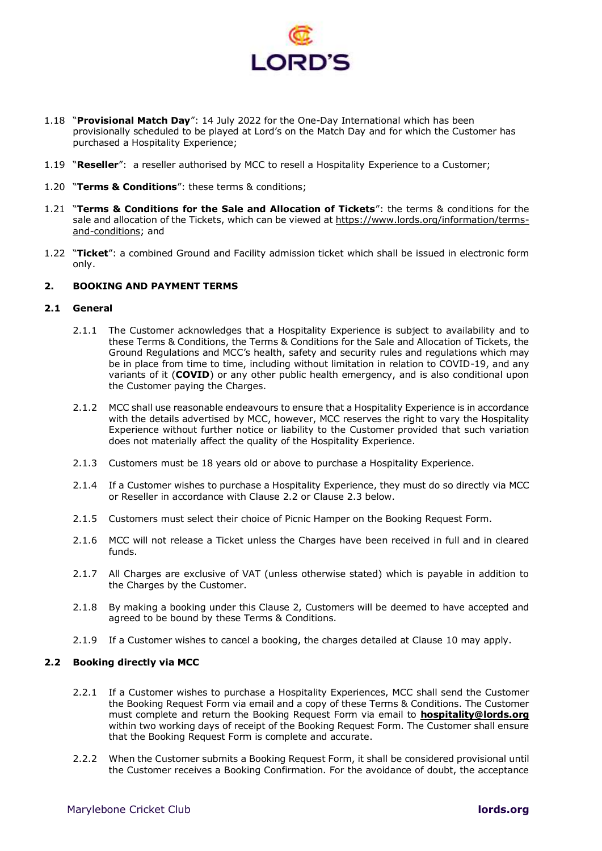

- 1.18 "**Provisional Match Day**": 14 July 2022 for the One-Day International which has been provisionally scheduled to be played at Lord's on the Match Day and for which the Customer has purchased a Hospitality Experience;
- 1.19 "**Reseller**": a reseller authorised by MCC to resell a Hospitality Experience to a Customer;
- 1.20 "**Terms & Conditions**": these terms & conditions;
- 1.21 "**Terms & Conditions for the Sale and Allocation of Tickets**": the terms & conditions for the sale and allocation of the Tickets, which can be viewed at [https://www.lords.org/information/terms](https://www.lords.org/information/terms-and-conditions)[and-conditions;](https://www.lords.org/information/terms-and-conditions) and
- 1.22 "**Ticket**": a combined Ground and Facility admission ticket which shall be issued in electronic form only.

## <span id="page-1-1"></span>**2. BOOKING AND PAYMENT TERMS**

#### **2.1 General**

- 2.1.1 The Customer acknowledges that a Hospitality Experience is subject to availability and to these Terms & Conditions, the Terms & Conditions for the Sale and Allocation of Tickets, the Ground Regulations and MCC's health, safety and security rules and regulations which may be in place from time to time, including without limitation in relation to COVID-19, and any variants of it (**COVID**) or any other public health emergency, and is also conditional upon the Customer paying the Charges.
- 2.1.2 MCC shall use reasonable endeavours to ensure that a Hospitality Experience is in accordance with the details advertised by MCC, however, MCC reserves the right to vary the Hospitality Experience without further notice or liability to the Customer provided that such variation does not materially affect the quality of the Hospitality Experience.
- 2.1.3 Customers must be 18 years old or above to purchase a Hospitality Experience.
- 2.1.4 If a Customer wishes to purchase a Hospitality Experience, they must do so directly via MCC or Reseller in accordance with Clause [2.2](#page-1-0) or Clause [2.3](#page-2-1) below.
- 2.1.5 Customers must select their choice of Picnic Hamper on the Booking Request Form.
- 2.1.6 MCC will not release a Ticket unless the Charges have been received in full and in cleared funds.
- 2.1.7 All Charges are exclusive of VAT (unless otherwise stated) which is payable in addition to the Charges by the Customer.
- 2.1.8 By making a booking under this Clause [2,](#page-1-1) Customers will be deemed to have accepted and agreed to be bound by these Terms & Conditions.
- <span id="page-1-0"></span>2.1.9 If a Customer wishes to cancel a booking, the charges detailed at Clause [10](#page-6-0) may apply.

## **2.2 Booking directly via MCC**

- 2.2.1 If a Customer wishes to purchase a Hospitality Experiences, MCC shall send the Customer the Booking Request Form via email and a copy of these Terms & Conditions. The Customer must complete and return the Booking Request Form via email to **[hospitality@lords.org](mailto:hospitality@lords.org)** within two working days of receipt of the Booking Request Form. The Customer shall ensure that the Booking Request Form is complete and accurate.
- 2.2.2 When the Customer submits a Booking Request Form, it shall be considered provisional until the Customer receives a Booking Confirmation. For the avoidance of doubt, the acceptance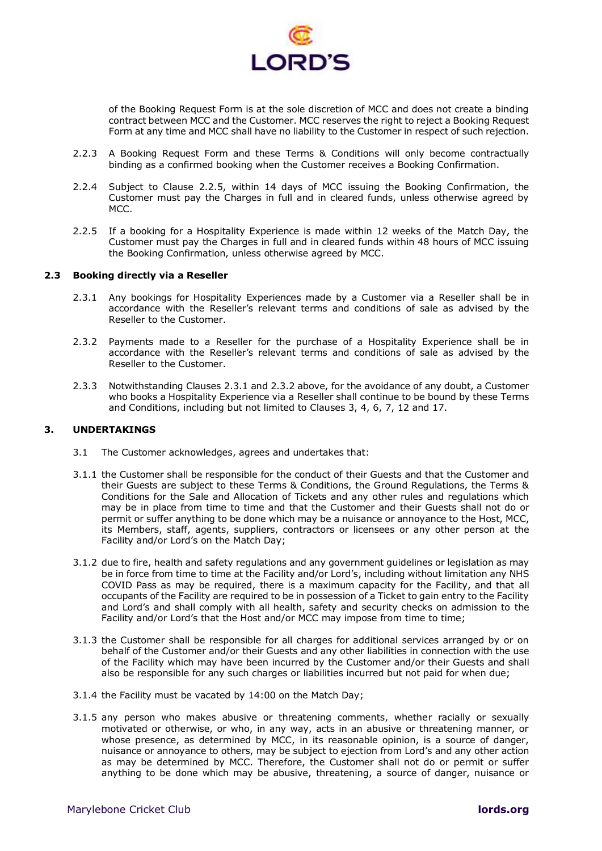<span id="page-2-0"></span>

of the Booking Request Form is at the sole discretion of MCC and does not create a binding contract between MCC and the Customer. MCC reserves the right to reject a Booking Request Form at any time and MCC shall have no liability to the Customer in respect of such rejection.

- 2.2.3 A Booking Request Form and these Terms & Conditions will only become contractually binding as a confirmed booking when the Customer receives a Booking Confirmation.
- 2.2.4 Subject to Clause [2.2.5,](#page-2-2) within 14 days of MCC issuing the Booking Confirmation, the Customer must pay the Charges in full and in cleared funds, unless otherwise agreed by MCC.
- <span id="page-2-2"></span>2.2.5 If a booking for a Hospitality Experience is made within 12 weeks of the Match Day, the Customer must pay the Charges in full and in cleared funds within 48 hours of MCC issuing the Booking Confirmation, unless otherwise agreed by MCC.

#### **2.3 Booking directly via a Reseller**

- <span id="page-2-3"></span><span id="page-2-1"></span>2.3.1 Any bookings for Hospitality Experiences made by a Customer via a Reseller shall be in accordance with the Reseller's relevant terms and conditions of sale as advised by the Reseller to the Customer.
- <span id="page-2-4"></span>2.3.2 Payments made to a Reseller for the purchase of a Hospitality Experience shall be in accordance with the Reseller's relevant terms and conditions of sale as advised by the Reseller to the Customer.
- 2.3.3 Notwithstanding Clauses [2.3.1](#page-2-3) and [2.3.2](#page-2-4) above, for the avoidance of any doubt, a Customer who books a Hospitality Experience via a Reseller shall continue to be bound by these Terms and Conditions, including but not limited to Clauses 3, 4, 6, 7, 12 and 17.

## **3. UNDERTAKINGS**

- 3.1 The Customer acknowledges, agrees and undertakes that:
- <span id="page-2-5"></span>3.1.1 the Customer shall be responsible for the conduct of their Guests and that the Customer and their Guests are subject to these Terms & Conditions, the Ground Regulations, the Terms & Conditions for the Sale and Allocation of Tickets and any other rules and regulations which may be in place from time to time and that the Customer and their Guests shall not do or permit or suffer anything to be done which may be a nuisance or annoyance to the Host, MCC, its Members, staff, agents, suppliers, contractors or licensees or any other person at the Facility and/or Lord's on the Match Day;
- 3.1.2 due to fire, health and safety regulations and any government guidelines or legislation as may be in force from time to time at the Facility and/or Lord's, including without limitation any NHS COVID Pass as may be required, there is a maximum capacity for the Facility, and that all occupants of the Facility are required to be in possession of a Ticket to gain entry to the Facility and Lord's and shall comply with all health, safety and security checks on admission to the Facility and/or Lord's that the Host and/or MCC may impose from time to time;
- 3.1.3 the Customer shall be responsible for all charges for additional services arranged by or on behalf of the Customer and/or their Guests and any other liabilities in connection with the use of the Facility which may have been incurred by the Customer and/or their Guests and shall also be responsible for any such charges or liabilities incurred but not paid for when due;
- 3.1.4 the Facility must be vacated by 14:00 on the Match Day;
- <span id="page-2-6"></span>3.1.5 any person who makes abusive or threatening comments, whether racially or sexually motivated or otherwise, or who, in any way, acts in an abusive or threatening manner, or whose presence, as determined by MCC, in its reasonable opinion, is a source of danger, nuisance or annoyance to others, may be subject to ejection from Lord's and any other action as may be determined by MCC. Therefore, the Customer shall not do or permit or suffer anything to be done which may be abusive, threatening, a source of danger, nuisance or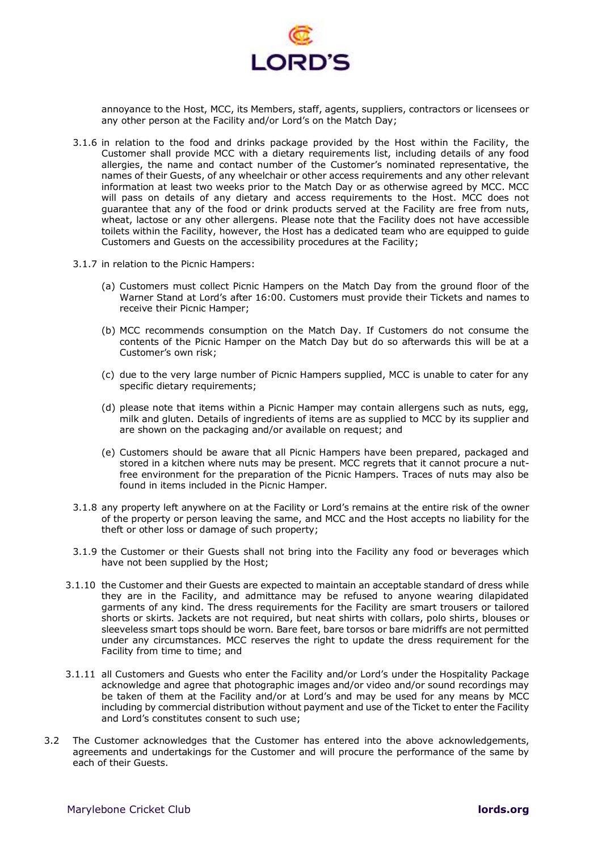

annoyance to the Host, MCC, its Members, staff, agents, suppliers, contractors or licensees or any other person at the Facility and/or Lord's on the Match Day;

- 3.1.6 in relation to the food and drinks package provided by the Host within the Facility, the Customer shall provide MCC with a dietary requirements list, including details of any food allergies, the name and contact number of the Customer's nominated representative, the names of their Guests, of any wheelchair or other access requirements and any other relevant information at least two weeks prior to the Match Day or as otherwise agreed by MCC. MCC will pass on details of any dietary and access requirements to the Host. MCC does not guarantee that any of the food or drink products served at the Facility are free from nuts, wheat, lactose or any other allergens. Please note that the Facility does not have accessible toilets within the Facility, however, the Host has a dedicated team who are equipped to guide Customers and Guests on the accessibility procedures at the Facility;
- 3.1.7 in relation to the Picnic Hampers:
	- (a) Customers must collect Picnic Hampers on the Match Day from the ground floor of the Warner Stand at Lord's after 16:00. Customers must provide their Tickets and names to receive their Picnic Hamper;
	- (b) MCC recommends consumption on the Match Day. If Customers do not consume the contents of the Picnic Hamper on the Match Day but do so afterwards this will be at a Customer's own risk;
	- (c) due to the very large number of Picnic Hampers supplied, MCC is unable to cater for any specific dietary requirements;
	- (d) please note that items within a Picnic Hamper may contain allergens such as nuts, egg, milk and gluten. Details of ingredients of items are as supplied to MCC by its supplier and are shown on the packaging and/or available on request; and
	- (e) Customers should be aware that all Picnic Hampers have been prepared, packaged and stored in a kitchen where nuts may be present. MCC regrets that it cannot procure a nutfree environment for the preparation of the Picnic Hampers. Traces of nuts may also be found in items included in the Picnic Hamper.
- 3.1.8 any property left anywhere on at the Facility or Lord's remains at the entire risk of the owner of the property or person leaving the same, and MCC and the Host accepts no liability for the theft or other loss or damage of such property;
- <span id="page-3-0"></span>3.1.9 the Customer or their Guests shall not bring into the Facility any food or beverages which have not been supplied by the Host;
- <span id="page-3-1"></span>3.1.10 the Customer and their Guests are expected to maintain an acceptable standard of dress while they are in the Facility, and admittance may be refused to anyone wearing dilapidated garments of any kind. The dress requirements for the Facility are smart trousers or tailored shorts or skirts. Jackets are not required, but neat shirts with collars, polo shirts, blouses or sleeveless smart tops should be worn. Bare feet, bare torsos or bare midriffs are not permitted under any circumstances. MCC reserves the right to update the dress requirement for the Facility from time to time; and
- 3.1.11 all Customers and Guests who enter the Facility and/or Lord's under the Hospitality Package acknowledge and agree that photographic images and/or video and/or sound recordings may be taken of them at the Facility and/or at Lord's and may be used for any means by MCC including by commercial distribution without payment and use of the Ticket to enter the Facility and Lord's constitutes consent to such use;
- 3.2 The Customer acknowledges that the Customer has entered into the above acknowledgements, agreements and undertakings for the Customer and will procure the performance of the same by each of their Guests.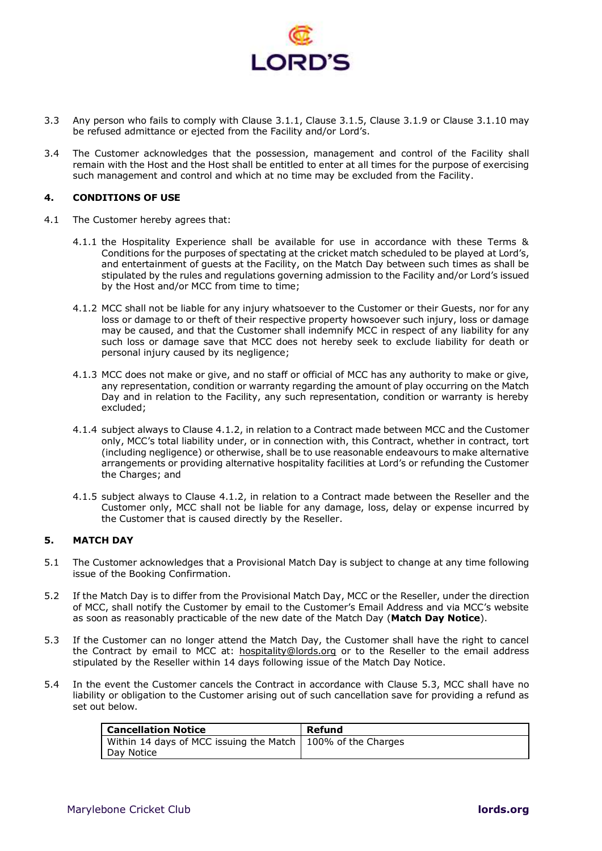

- 3.3 Any person who fails to comply with Clause [3.1.1,](#page-2-5) Clause [3.1.5,](#page-2-6) Clause [3.1.9](#page-3-0) or Clause [3.1.10](#page-3-1) may be refused admittance or ejected from the Facility and/or Lord's.
- 3.4 The Customer acknowledges that the possession, management and control of the Facility shall remain with the Host and the Host shall be entitled to enter at all times for the purpose of exercising such management and control and which at no time may be excluded from the Facility.

#### **4. CONDITIONS OF USE**

- <span id="page-4-1"></span>4.1 The Customer hereby agrees that:
	- 4.1.1 the Hospitality Experience shall be available for use in accordance with these Terms & Conditions for the purposes of spectating at the cricket match scheduled to be played at Lord's, and entertainment of guests at the Facility, on the Match Day between such times as shall be stipulated by the rules and regulations governing admission to the Facility and/or Lord's issued by the Host and/or MCC from time to time;
	- 4.1.2 MCC shall not be liable for any injury whatsoever to the Customer or their Guests, nor for any loss or damage to or theft of their respective property howsoever such injury, loss or damage may be caused, and that the Customer shall indemnify MCC in respect of any liability for any such loss or damage save that MCC does not hereby seek to exclude liability for death or personal injury caused by its negligence;
	- 4.1.3 MCC does not make or give, and no staff or official of MCC has any authority to make or give, any representation, condition or warranty regarding the amount of play occurring on the Match Day and in relation to the Facility, any such representation, condition or warranty is hereby excluded;
	- 4.1.4 subject always to Clause [4.1.2,](#page-4-1) in relation to a Contract made between MCC and the Customer only, MCC's total liability under, or in connection with, this Contract, whether in contract, tort (including negligence) or otherwise, shall be to use reasonable endeavours to make alternative arrangements or providing alternative hospitality facilities at Lord's or refunding the Customer the Charges; and
	- 4.1.5 subject always to Clause [4.1.2,](#page-4-1) in relation to a Contract made between the Reseller and the Customer only, MCC shall not be liable for any damage, loss, delay or expense incurred by the Customer that is caused directly by the Reseller.

## **5. MATCH DAY**

- 5.1 The Customer acknowledges that a Provisional Match Day is subject to change at any time following issue of the Booking Confirmation.
- <span id="page-4-0"></span>5.2 If the Match Day is to differ from the Provisional Match Day, MCC or the Reseller, under the direction of MCC, shall notify the Customer by email to the Customer's Email Address and via MCC's website as soon as reasonably practicable of the new date of the Match Day (**Match Day Notice**).
- <span id="page-4-2"></span>5.3 If the Customer can no longer attend the Match Day, the Customer shall have the right to cancel the Contract by email to MCC at: [hospitality@lords.org](mailto:hospitality@lords.org) or to the Reseller to the email address stipulated by the Reseller within 14 days following issue of the Match Day Notice.
- 5.4 In the event the Customer cancels the Contract in accordance with Clause [5.3,](#page-4-2) MCC shall have no liability or obligation to the Customer arising out of such cancellation save for providing a refund as set out below.

| <b>Cancellation Notice</b>                                    | Refund |
|---------------------------------------------------------------|--------|
| Within 14 days of MCC issuing the Match   100% of the Charges |        |
| Dav Notice                                                    |        |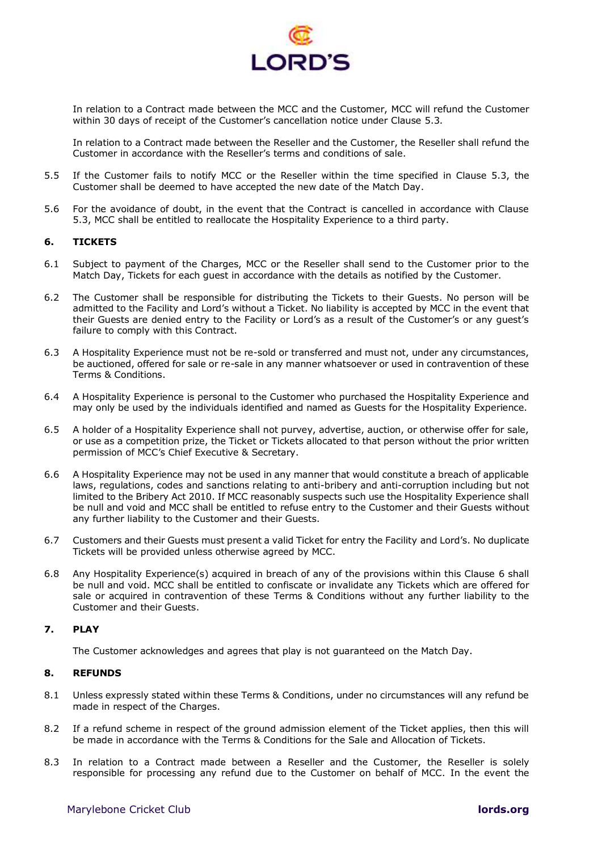

In relation to a Contract made between the MCC and the Customer, MCC will refund the Customer within 30 days of receipt of the Customer's cancellation notice under Clause [5.3.](#page-4-2)

In relation to a Contract made between the Reseller and the Customer, the Reseller shall refund the Customer in accordance with the Reseller's terms and conditions of sale.

- 5.5 If the Customer fails to notify MCC or the Reseller within the time specified in Clause [5.3,](#page-4-2) the Customer shall be deemed to have accepted the new date of the Match Day.
- 5.6 For the avoidance of doubt, in the event that the Contract is cancelled in accordance with Clause [5.3,](#page-4-2) MCC shall be entitled to reallocate the Hospitality Experience to a third party.

## <span id="page-5-0"></span>**6. TICKETS**

- 6.1 Subject to payment of the Charges, MCC or the Reseller shall send to the Customer prior to the Match Day, Tickets for each guest in accordance with the details as notified by the Customer.
- 6.2 The Customer shall be responsible for distributing the Tickets to their Guests. No person will be admitted to the Facility and Lord's without a Ticket. No liability is accepted by MCC in the event that their Guests are denied entry to the Facility or Lord's as a result of the Customer's or any guest's failure to comply with this Contract.
- 6.3 A Hospitality Experience must not be re-sold or transferred and must not, under any circumstances, be auctioned, offered for sale or re-sale in any manner whatsoever or used in contravention of these Terms & Conditions.
- 6.4 A Hospitality Experience is personal to the Customer who purchased the Hospitality Experience and may only be used by the individuals identified and named as Guests for the Hospitality Experience.
- 6.5 A holder of a Hospitality Experience shall not purvey, advertise, auction, or otherwise offer for sale, or use as a competition prize, the Ticket or Tickets allocated to that person without the prior written permission of MCC's Chief Executive & Secretary.
- 6.6 A Hospitality Experience may not be used in any manner that would constitute a breach of applicable laws, regulations, codes and sanctions relating to anti-bribery and anti-corruption including but not limited to the Bribery Act 2010. If MCC reasonably suspects such use the Hospitality Experience shall be null and void and MCC shall be entitled to refuse entry to the Customer and their Guests without any further liability to the Customer and their Guests.
- 6.7 Customers and their Guests must present a valid Ticket for entry the Facility and Lord's. No duplicate Tickets will be provided unless otherwise agreed by MCC.
- 6.8 Any Hospitality Experience(s) acquired in breach of any of the provisions within this Clause [6](#page-5-0) shall be null and void. MCC shall be entitled to confiscate or invalidate any Tickets which are offered for sale or acquired in contravention of these Terms & Conditions without any further liability to the Customer and their Guests.

#### **7. PLAY**

The Customer acknowledges and agrees that play is not guaranteed on the Match Day.

## **8. REFUNDS**

- 8.1 Unless expressly stated within these Terms & Conditions, under no circumstances will any refund be made in respect of the Charges.
- <span id="page-5-1"></span>8.2 If a refund scheme in respect of the ground admission element of the Ticket applies, then this will be made in accordance with the Terms & Conditions for the Sale and Allocation of Tickets.
- 8.3 In relation to a Contract made between a Reseller and the Customer, the Reseller is solely responsible for processing any refund due to the Customer on behalf of MCC. In the event the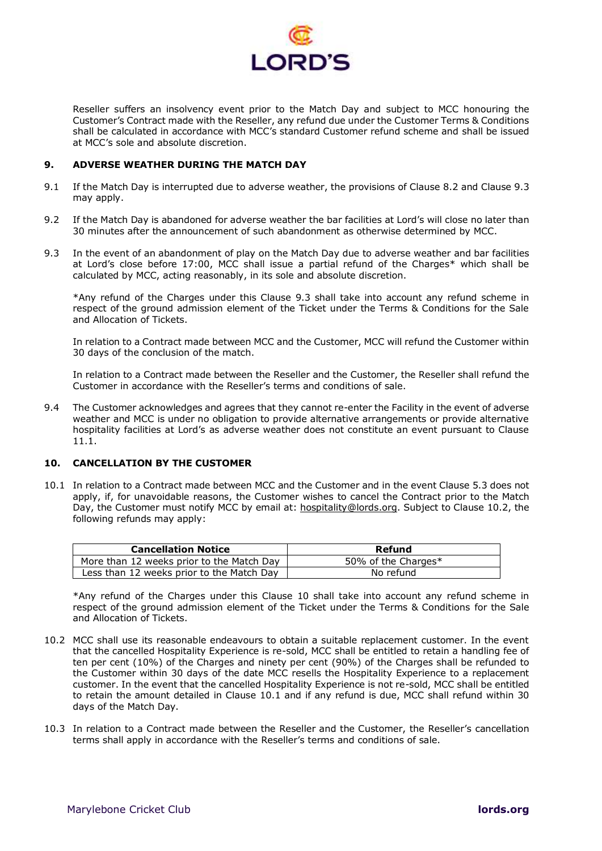

Reseller suffers an insolvency event prior to the Match Day and subject to MCC honouring the Customer's Contract made with the Reseller, any refund due under the Customer Terms & Conditions shall be calculated in accordance with MCC's standard Customer refund scheme and shall be issued at MCC's sole and absolute discretion.

## **9. ADVERSE WEATHER DURING THE MATCH DAY**

- 9.1 If the Match Day is interrupted due to adverse weather, the provisions of Clause [8.2](#page-5-1) and Clause [9.3](#page-6-1) may apply.
- 9.2 If the Match Day is abandoned for adverse weather the bar facilities at Lord's will close no later than 30 minutes after the announcement of such abandonment as otherwise determined by MCC.
- <span id="page-6-1"></span>9.3 In the event of an abandonment of play on the Match Day due to adverse weather and bar facilities at Lord's close before 17:00, MCC shall issue a partial refund of the Charges\* which shall be calculated by MCC, acting reasonably, in its sole and absolute discretion.

\*Any refund of the Charges under this Clause [9.3](#page-6-1) shall take into account any refund scheme in respect of the ground admission element of the Ticket under the Terms & Conditions for the Sale and Allocation of Tickets.

In relation to a Contract made between MCC and the Customer, MCC will refund the Customer within 30 days of the conclusion of the match.

In relation to a Contract made between the Reseller and the Customer, the Reseller shall refund the Customer in accordance with the Reseller's terms and conditions of sale.

9.4 The Customer acknowledges and agrees that they cannot re-enter the Facility in the event of adverse weather and MCC is under no obligation to provide alternative arrangements or provide alternative hospitality facilities at Lord's as adverse weather does not constitute an event pursuant to Clause [11.1.](#page-7-0)

#### <span id="page-6-0"></span>**10. CANCELLATION BY THE CUSTOMER**

<span id="page-6-3"></span>10.1 In relation to a Contract made between MCC and the Customer and in the event Clause [5.3](#page-4-2) does not apply, if, for unavoidable reasons, the Customer wishes to cancel the Contract prior to the Match Day, the Customer must notify MCC by email at: [hospitality@lords.org.](mailto:hospitality@lords.org) Subject to Clause [10.2,](#page-6-2) the following refunds may apply:

| <b>Cancellation Notice</b>                | Refund              |
|-------------------------------------------|---------------------|
| More than 12 weeks prior to the Match Day | 50% of the Charges* |
| Less than 12 weeks prior to the Match Day | No refund           |

\*Any refund of the Charges under this Clause [10](#page-6-0) shall take into account any refund scheme in respect of the ground admission element of the Ticket under the Terms & Conditions for the Sale and Allocation of Tickets.

- <span id="page-6-2"></span>10.2 MCC shall use its reasonable endeavours to obtain a suitable replacement customer. In the event that the cancelled Hospitality Experience is re-sold, MCC shall be entitled to retain a handling fee of ten per cent (10%) of the Charges and ninety per cent (90%) of the Charges shall be refunded to the Customer within 30 days of the date MCC resells the Hospitality Experience to a replacement customer. In the event that the cancelled Hospitality Experience is not re-sold, MCC shall be entitled to retain the amount detailed in Clause [10.1](#page-6-3) and if any refund is due, MCC shall refund within 30 days of the Match Day.
- 10.3 In relation to a Contract made between the Reseller and the Customer, the Reseller's cancellation terms shall apply in accordance with the Reseller's terms and conditions of sale.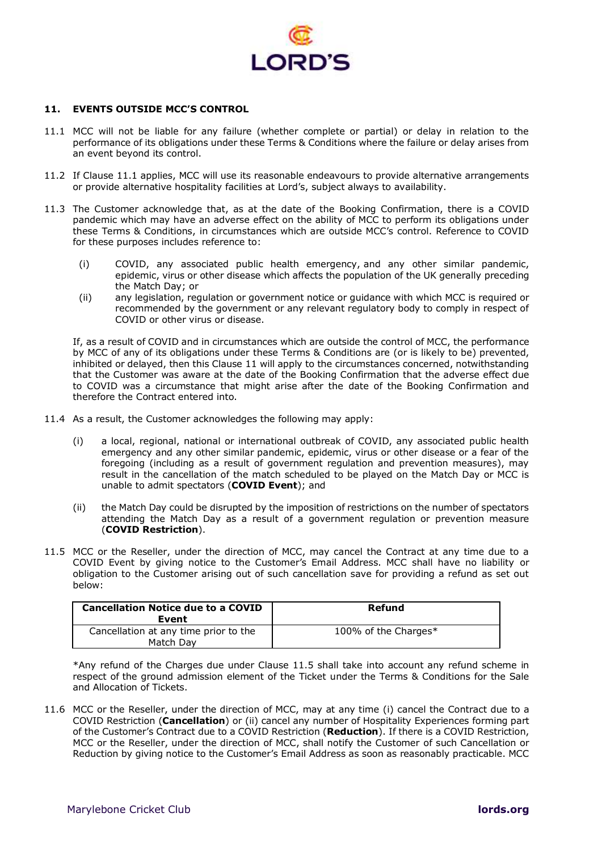

## <span id="page-7-1"></span>**11. EVENTS OUTSIDE MCC'S CONTROL**

- <span id="page-7-0"></span>11.1 MCC will not be liable for any failure (whether complete or partial) or delay in relation to the performance of its obligations under these Terms & Conditions where the failure or delay arises from an event beyond its control.
- 11.2 If Clause [11.1](#page-7-0) applies, MCC will use its reasonable endeavours to provide alternative arrangements or provide alternative hospitality facilities at Lord's, subject always to availability.
- 11.3 The Customer acknowledge that, as at the date of the Booking Confirmation, there is a COVID pandemic which may have an adverse effect on the ability of MCC to perform its obligations under these Terms & Conditions, in circumstances which are outside MCC's control. Reference to COVID for these purposes includes reference to:
	- (i) COVID, any associated public health emergency, and any other similar pandemic, epidemic, virus or other disease which affects the population of the UK generally preceding the Match Day; or
	- (ii) any legislation, regulation or government notice or guidance with which MCC is required or recommended by the government or any relevant regulatory body to comply in respect of COVID or other virus or disease.

If, as a result of COVID and in circumstances which are outside the control of MCC, the performance by MCC of any of its obligations under these Terms & Conditions are (or is likely to be) prevented, inhibited or delayed, then this Clause [11](#page-7-1) will apply to the circumstances concerned, notwithstanding that the Customer was aware at the date of the Booking Confirmation that the adverse effect due to COVID was a circumstance that might arise after the date of the Booking Confirmation and therefore the Contract entered into.

- 11.4 As a result, the Customer acknowledges the following may apply:
	- (i) a local, regional, national or international outbreak of COVID, any associated public health emergency and any other similar pandemic, epidemic, virus or other disease or a fear of the foregoing (including as a result of government regulation and prevention measures), may result in the cancellation of the match scheduled to be played on the Match Day or MCC is unable to admit spectators (**COVID Event**); and
	- (ii) the Match Day could be disrupted by the imposition of restrictions on the number of spectators attending the Match Day as a result of a government regulation or prevention measure (**COVID Restriction**).
- <span id="page-7-2"></span>11.5 MCC or the Reseller, under the direction of MCC, may cancel the Contract at any time due to a COVID Event by giving notice to the Customer's Email Address. MCC shall have no liability or obligation to the Customer arising out of such cancellation save for providing a refund as set out below:

| <b>Cancellation Notice due to a COVID</b><br>Event | Refund               |
|----------------------------------------------------|----------------------|
| Cancellation at any time prior to the<br>Match Dav | 100% of the Charges* |

\*Any refund of the Charges due under Clause [11.5](#page-7-2) shall take into account any refund scheme in respect of the ground admission element of the Ticket under the Terms & Conditions for the Sale and Allocation of Tickets.

<span id="page-7-3"></span>11.6 MCC or the Reseller, under the direction of MCC, may at any time (i) cancel the Contract due to a COVID Restriction (**Cancellation**) or (ii) cancel any number of Hospitality Experiences forming part of the Customer's Contract due to a COVID Restriction (**Reduction**). If there is a COVID Restriction, MCC or the Reseller, under the direction of MCC, shall notify the Customer of such Cancellation or Reduction by giving notice to the Customer's Email Address as soon as reasonably practicable. MCC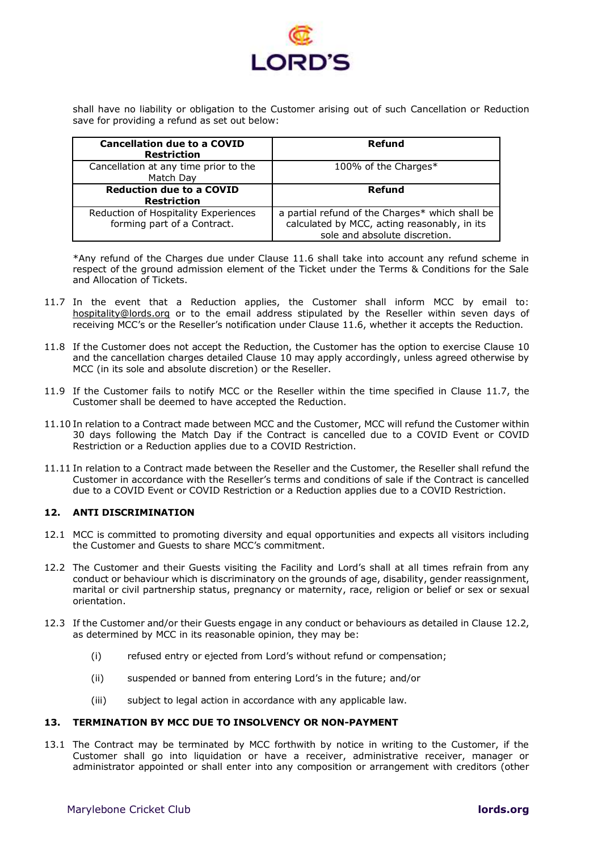

shall have no liability or obligation to the Customer arising out of such Cancellation or Reduction save for providing a refund as set out below:

| <b>Cancellation due to a COVID</b><br><b>Restriction</b>            | Refund                                                                                                                           |
|---------------------------------------------------------------------|----------------------------------------------------------------------------------------------------------------------------------|
| Cancellation at any time prior to the<br>Match Day                  | 100% of the Charges*                                                                                                             |
| <b>Reduction due to a COVID</b><br><b>Restriction</b>               | Refund                                                                                                                           |
| Reduction of Hospitality Experiences<br>forming part of a Contract. | a partial refund of the Charges* which shall be<br>calculated by MCC, acting reasonably, in its<br>sole and absolute discretion. |

\*Any refund of the Charges due under Clause [11.6](#page-7-3) shall take into account any refund scheme in respect of the ground admission element of the Ticket under the Terms & Conditions for the Sale and Allocation of Tickets.

- <span id="page-8-0"></span>11.7 In the event that a Reduction applies, the Customer shall inform MCC by email to: [hospitality@lords.org](mailto:hospitality@lords.org) or to the email address stipulated by the Reseller within seven days of receiving MCC's or the Reseller's notification under Clause [11.6,](#page-7-3) whether it accepts the Reduction.
- 11.8 If the Customer does not accept the Reduction, the Customer has the option to exercise Clause [10](#page-6-0) and the cancellation charges detailed Clause [10](#page-6-0) may apply accordingly, unless agreed otherwise by MCC (in its sole and absolute discretion) or the Reseller.
- 11.9 If the Customer fails to notify MCC or the Reseller within the time specified in Clause [11.7,](#page-8-0) the Customer shall be deemed to have accepted the Reduction.
- 11.10 In relation to a Contract made between MCC and the Customer, MCC will refund the Customer within 30 days following the Match Day if the Contract is cancelled due to a COVID Event or COVID Restriction or a Reduction applies due to a COVID Restriction.
- 11.11 In relation to a Contract made between the Reseller and the Customer, the Reseller shall refund the Customer in accordance with the Reseller's terms and conditions of sale if the Contract is cancelled due to a COVID Event or COVID Restriction or a Reduction applies due to a COVID Restriction.

## **12. ANTI DISCRIMINATION**

- 12.1 MCC is committed to promoting diversity and equal opportunities and expects all visitors including the Customer and Guests to share MCC's commitment.
- <span id="page-8-1"></span>12.2 The Customer and their Guests visiting the Facility and Lord's shall at all times refrain from any conduct or behaviour which is discriminatory on the grounds of age, disability, gender reassignment, marital or civil partnership status, pregnancy or maternity, race, religion or belief or sex or sexual orientation.
- 12.3 If the Customer and/or their Guests engage in any conduct or behaviours as detailed in Clause [12.2,](#page-8-1) as determined by MCC in its reasonable opinion, they may be:
	- (i) refused entry or ejected from Lord's without refund or compensation;
	- (ii) suspended or banned from entering Lord's in the future; and/or
	- (iii) subject to legal action in accordance with any applicable law.

## **13. TERMINATION BY MCC DUE TO INSOLVENCY OR NON-PAYMENT**

<span id="page-8-2"></span>13.1 The Contract may be terminated by MCC forthwith by notice in writing to the Customer, if the Customer shall go into liquidation or have a receiver, administrative receiver, manager or administrator appointed or shall enter into any composition or arrangement with creditors (other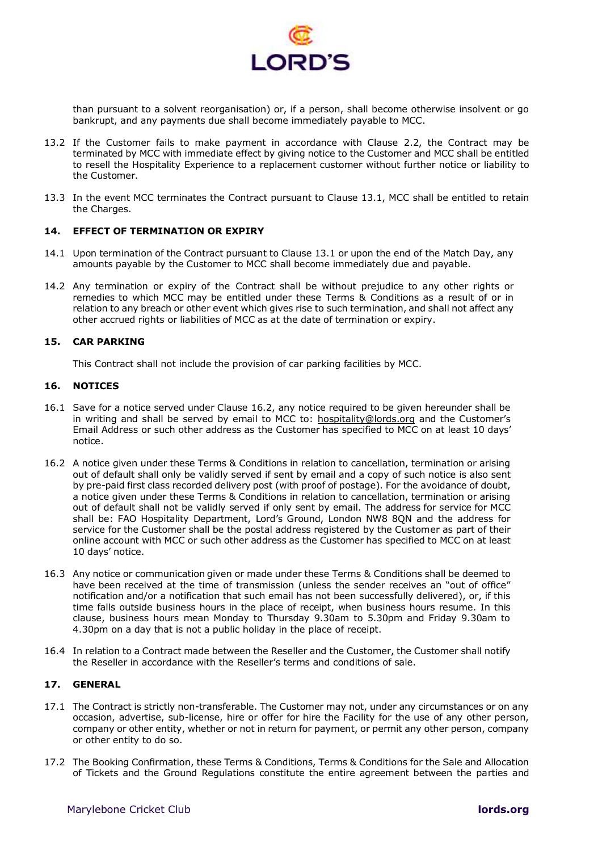

than pursuant to a solvent reorganisation) or, if a person, shall become otherwise insolvent or go bankrupt, and any payments due shall become immediately payable to MCC.

- 13.2 If the Customer fails to make payment in accordance with Clause [2.2,](#page-1-0) the Contract may be terminated by MCC with immediate effect by giving notice to the Customer and MCC shall be entitled to resell the Hospitality Experience to a replacement customer without further notice or liability to the Customer.
- 13.3 In the event MCC terminates the Contract pursuant to Clause [13.1,](#page-8-2) MCC shall be entitled to retain the Charges.

#### **14. EFFECT OF TERMINATION OR EXPIRY**

- 14.1 Upon termination of the Contract pursuant to Clause [13.1](#page-8-2) or upon the end of the Match Day, any amounts payable by the Customer to MCC shall become immediately due and payable.
- 14.2 Any termination or expiry of the Contract shall be without prejudice to any other rights or remedies to which MCC may be entitled under these Terms & Conditions as a result of or in relation to any breach or other event which gives rise to such termination, and shall not affect any other accrued rights or liabilities of MCC as at the date of termination or expiry.

## **15. CAR PARKING**

This Contract shall not include the provision of car parking facilities by MCC.

#### **16. NOTICES**

- 16.1 Save for a notice served under Clause [16.2,](#page-9-0) any notice required to be given hereunder shall be in writing and shall be served by email to MCC to: [hospitality@lords.org](mailto:hospitality@lords.org) and the Customer's Email Address or such other address as the Customer has specified to MCC on at least 10 days' notice.
- <span id="page-9-0"></span>16.2 A notice given under these Terms & Conditions in relation to cancellation, termination or arising out of default shall only be validly served if sent by email and a copy of such notice is also sent by pre-paid first class recorded delivery post (with proof of postage). For the avoidance of doubt, a notice given under these Terms & Conditions in relation to cancellation, termination or arising out of default shall not be validly served if only sent by email. The address for service for MCC shall be: FAO Hospitality Department, Lord's Ground, London NW8 8QN and the address for service for the Customer shall be the postal address registered by the Customer as part of their online account with MCC or such other address as the Customer has specified to MCC on at least 10 days' notice.
- 16.3 Any notice or communication given or made under these Terms & Conditions shall be deemed to have been received at the time of transmission (unless the sender receives an "out of office" notification and/or a notification that such email has not been successfully delivered), or, if this time falls outside business hours in the place of receipt, when business hours resume. In this clause, business hours mean Monday to Thursday 9.30am to 5.30pm and Friday 9.30am to 4.30pm on a day that is not a public holiday in the place of receipt.
- 16.4 In relation to a Contract made between the Reseller and the Customer, the Customer shall notify the Reseller in accordance with the Reseller's terms and conditions of sale.

#### **17. GENERAL**

- 17.1 The Contract is strictly non-transferable. The Customer may not, under any circumstances or on any occasion, advertise, sub-license, hire or offer for hire the Facility for the use of any other person, company or other entity, whether or not in return for payment, or permit any other person, company or other entity to do so.
- 17.2 The Booking Confirmation, these Terms & Conditions, Terms & Conditions for the Sale and Allocation of Tickets and the Ground Regulations constitute the entire agreement between the parties and